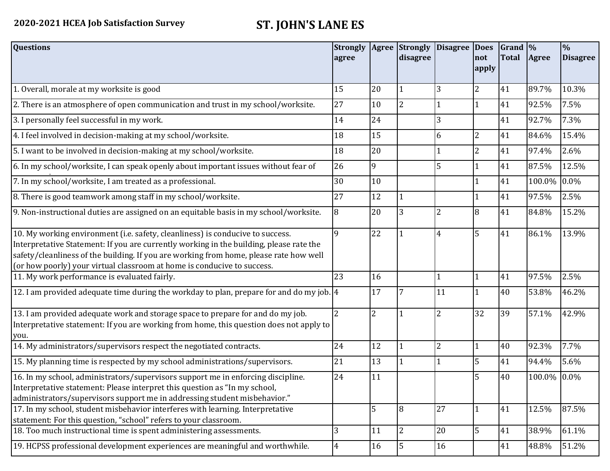| <b>Questions</b>                                                                                                                                                                                                                                                                                                                               | <b>Strongly</b><br>agree |                | disagree       | Agree Strongly Disagree Does | not<br>apply   | $\vert$ Grand $\vert\%$<br><b>Total</b> | Agree       | $\frac{1}{2}$<br><b>Disagree</b> |
|------------------------------------------------------------------------------------------------------------------------------------------------------------------------------------------------------------------------------------------------------------------------------------------------------------------------------------------------|--------------------------|----------------|----------------|------------------------------|----------------|-----------------------------------------|-------------|----------------------------------|
| 1. Overall, morale at my worksite is good                                                                                                                                                                                                                                                                                                      | 15                       | 20             | $\mathbf{1}$   | 3                            | $\overline{2}$ | 41                                      | 89.7%       | 10.3%                            |
| 2. There is an atmosphere of open communication and trust in my school/worksite.                                                                                                                                                                                                                                                               | 27                       | 10             | $\overline{2}$ |                              | 1              | 41                                      | 92.5%       | 7.5%                             |
| 3. I personally feel successful in my work.                                                                                                                                                                                                                                                                                                    | 14                       | 24             |                | 3                            |                | 41                                      | 92.7%       | 7.3%                             |
| 4. I feel involved in decision-making at my school/worksite.                                                                                                                                                                                                                                                                                   | 18                       | 15             |                | 6                            | $\overline{2}$ | 41                                      | 84.6%       | 15.4%                            |
| 5. I want to be involved in decision-making at my school/worksite.                                                                                                                                                                                                                                                                             | 18                       | 20             |                |                              | $\overline{2}$ | 41                                      | 97.4%       | 2.6%                             |
| 6. In my school/worksite, I can speak openly about important issues without fear of                                                                                                                                                                                                                                                            | 26                       | 9              |                | 5                            |                | 41                                      | 87.5%       | 12.5%                            |
| 7. In my school/worksite, I am treated as a professional.                                                                                                                                                                                                                                                                                      | 30                       | 10             |                |                              | $\mathbf{1}$   | 41                                      | 100.0%      | 0.0%                             |
| 8. There is good teamwork among staff in my school/worksite.                                                                                                                                                                                                                                                                                   | 27                       | 12             |                |                              | $\mathbf{1}$   | 41                                      | 97.5%       | 2.5%                             |
| 9. Non-instructional duties are assigned on an equitable basis in my school/worksite.                                                                                                                                                                                                                                                          | 8                        | 20             | 3              | $\overline{2}$               | 8              | 41                                      | 84.8%       | 15.2%                            |
| 10. My working environment (i.e. safety, cleanliness) is conducive to success.<br>Interpretative Statement: If you are currently working in the building, please rate the<br>safety/cleanliness of the building. If you are working from home, please rate how well<br>(or how poorly) your virtual classroom at home is conducive to success. | $\overline{q}$           | 22             |                | $\overline{4}$               | 5              | 41                                      | 86.1%       | 13.9%                            |
| 11. My work performance is evaluated fairly.                                                                                                                                                                                                                                                                                                   | 23                       | 16             |                | $\mathbf{1}$                 | 1              | 41                                      | 97.5%       | 2.5%                             |
| 12. I am provided adequate time during the workday to plan, prepare for and do my job. $ 4 $                                                                                                                                                                                                                                                   |                          | 17             | 7              | 11                           | $\mathbf{1}$   | 40                                      | 53.8%       | 46.2%                            |
| 13. I am provided adequate work and storage space to prepare for and do my job.<br>Interpretative statement: If you are working from home, this question does not apply to<br>you.                                                                                                                                                             | $\overline{2}$           | $\overline{2}$ |                | $\overline{2}$               | 32             | 39                                      | 57.1%       | 42.9%                            |
| 14. My administrators/supervisors respect the negotiated contracts.                                                                                                                                                                                                                                                                            | 24                       | 12             | 1              | $\overline{2}$               | $\mathbf{1}$   | 40                                      | 92.3%       | 7.7%                             |
| 15. My planning time is respected by my school administrations/supervisors.                                                                                                                                                                                                                                                                    | 21                       | 13             | $\mathbf 1$    | $\overline{1}$               | 5              | 41                                      | 94.4%       | 5.6%                             |
| 16. In my school, administrators/supervisors support me in enforcing discipline.<br>Interpretative statement: Please interpret this question as "In my school,<br>administrators/supervisors support me in addressing student misbehavior."                                                                                                    | 24                       | 11             |                |                              | 5              | 40                                      | 100.0% 0.0% |                                  |
| 17. In my school, student misbehavior interferes with learning. Interpretative<br>statement: For this question, "school" refers to your classroom.                                                                                                                                                                                             |                          | 5              | 8              | 27                           | $\mathbf{1}$   | 41                                      | 12.5%       | 87.5%                            |
| 18. Too much instructional time is spent administering assessments.                                                                                                                                                                                                                                                                            | $\overline{3}$           | 11             | $\overline{2}$ | 20                           | 5              | 41                                      | 38.9%       | 61.1%                            |
| 19. HCPSS professional development experiences are meaningful and worthwhile.                                                                                                                                                                                                                                                                  | $\overline{4}$           | 16             | 5              | 16                           |                | 41                                      | 48.8%       | 51.2%                            |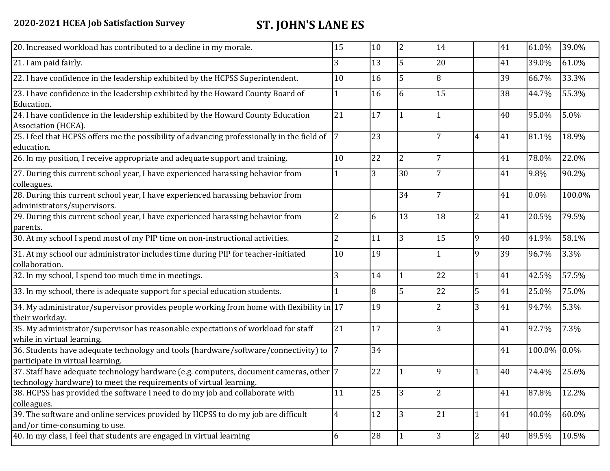| 15<br>3        | 10                                                                                                                                                                                                                                                                                                                                                                        | $\overline{2}$ | 14             |                | 41 | 61.0% | 39.0%       |
|----------------|---------------------------------------------------------------------------------------------------------------------------------------------------------------------------------------------------------------------------------------------------------------------------------------------------------------------------------------------------------------------------|----------------|----------------|----------------|----|-------|-------------|
|                |                                                                                                                                                                                                                                                                                                                                                                           |                |                |                |    |       |             |
|                | 13                                                                                                                                                                                                                                                                                                                                                                        | 5              | 20             |                | 41 | 39.0% | 61.0%       |
| 10             | 16                                                                                                                                                                                                                                                                                                                                                                        | 5              | 8              |                | 39 | 66.7% | 33.3%       |
| 1              | 16                                                                                                                                                                                                                                                                                                                                                                        | 6              | 15             |                | 38 | 44.7% | 55.3%       |
| 21             | 17                                                                                                                                                                                                                                                                                                                                                                        | $\mathbf{1}$   |                |                | 40 | 95.0% | 5.0%        |
|                | 23                                                                                                                                                                                                                                                                                                                                                                        |                | 7              | $\overline{4}$ | 41 | 81.1% | 18.9%       |
| 10             | 22                                                                                                                                                                                                                                                                                                                                                                        | $\overline{2}$ | 7              |                | 41 | 78.0% | 22.0%       |
|                | 3                                                                                                                                                                                                                                                                                                                                                                         | 30             | 7              |                | 41 | 9.8%  | 90.2%       |
|                |                                                                                                                                                                                                                                                                                                                                                                           | 34             | 7              |                | 41 | 0.0%  | 100.0%      |
| $\overline{2}$ | 6                                                                                                                                                                                                                                                                                                                                                                         | 13             | 18             | $\overline{2}$ | 41 | 20.5% | 79.5%       |
| $\overline{2}$ | 11                                                                                                                                                                                                                                                                                                                                                                        | $\overline{3}$ | 15             | 9              | 40 | 41.9% | 58.1%       |
| 10             | 19                                                                                                                                                                                                                                                                                                                                                                        |                |                | 9              | 39 | 96.7% | 3.3%        |
| 3              | 14                                                                                                                                                                                                                                                                                                                                                                        | 1              | 22             | $\mathbf{1}$   | 41 | 42.5% | 57.5%       |
|                | 8                                                                                                                                                                                                                                                                                                                                                                         | 5              | 22             | 5              | 41 | 25.0% | 75.0%       |
|                | 19                                                                                                                                                                                                                                                                                                                                                                        |                | 2              | 3              | 41 | 94.7% | 5.3%        |
| 21             | 17                                                                                                                                                                                                                                                                                                                                                                        |                | 3              |                | 41 | 92.7% | 7.3%        |
|                | 34                                                                                                                                                                                                                                                                                                                                                                        |                |                |                | 41 |       |             |
|                | 22                                                                                                                                                                                                                                                                                                                                                                        |                | 9              | 1              | 40 | 74.4% | 25.6%       |
| 11             | 25                                                                                                                                                                                                                                                                                                                                                                        | 3              | $\overline{2}$ |                | 41 | 87.8% | 12.2%       |
| $\overline{4}$ | 12                                                                                                                                                                                                                                                                                                                                                                        | 3              | 21             | 1              | 41 | 40.0% | 60.0%       |
| 6              | 28                                                                                                                                                                                                                                                                                                                                                                        | $\mathbf{1}$   | 3              | $\overline{2}$ | 40 | 89.5% | 10.5%       |
|                | 25. I feel that HCPSS offers me the possibility of advancing professionally in the field of<br>34. My administrator/supervisor provides people working from home with flexibility in 17<br>36. Students have adequate technology and tools (hardware/software/connectivity) to<br>37. Staff have adequate technology hardware (e.g. computers, document cameras, other  7 |                |                |                |    |       | 100.0% 0.0% |